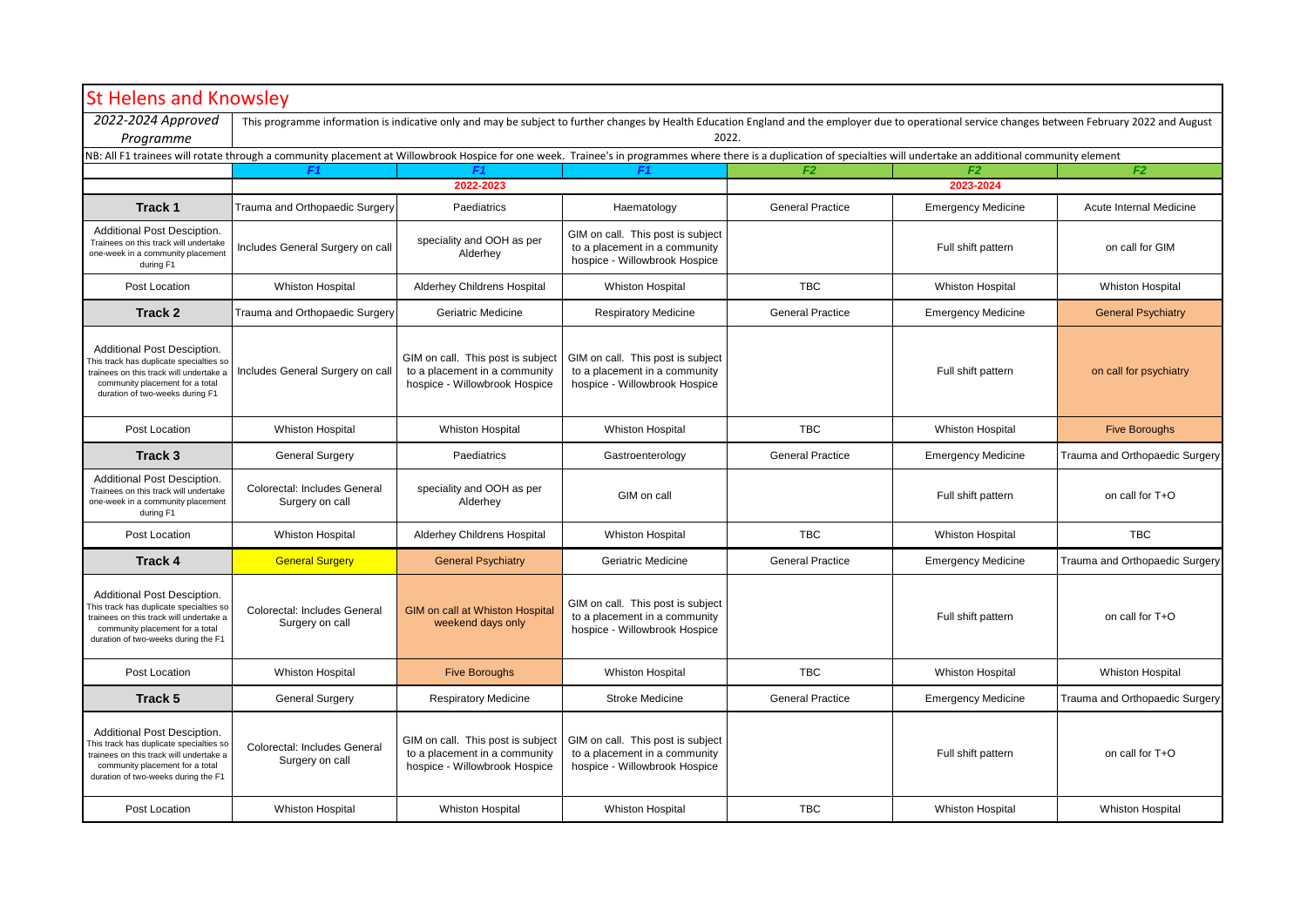| <b>St Helens and Knowsley</b>                                                                                                                                                                                         |                                                                                                                                                                                                               |                                                                                                     |                                                                                                     |                         |                           |                                |  |  |
|-----------------------------------------------------------------------------------------------------------------------------------------------------------------------------------------------------------------------|---------------------------------------------------------------------------------------------------------------------------------------------------------------------------------------------------------------|-----------------------------------------------------------------------------------------------------|-----------------------------------------------------------------------------------------------------|-------------------------|---------------------------|--------------------------------|--|--|
| 2022-2024 Approved<br>Programme                                                                                                                                                                                       | This programme information is indicative only and may be subject to further changes by Health Education England and the employer due to operational service changes between February 2022 and August<br>2022. |                                                                                                     |                                                                                                     |                         |                           |                                |  |  |
| NB: All F1 trainees will rotate through a community placement at Willowbrook Hospice for one week. Trainee's in programmes where there is a duplication of specialties will undertake an additional community element |                                                                                                                                                                                                               |                                                                                                     |                                                                                                     |                         |                           |                                |  |  |
|                                                                                                                                                                                                                       | F1                                                                                                                                                                                                            |                                                                                                     | F1.                                                                                                 | F <sub>2</sub>          | F2                        | F <sub>2</sub>                 |  |  |
|                                                                                                                                                                                                                       | 2022-2023                                                                                                                                                                                                     |                                                                                                     |                                                                                                     | 2023-2024               |                           |                                |  |  |
| Track 1                                                                                                                                                                                                               | Trauma and Orthopaedic Surgery                                                                                                                                                                                | Paediatrics                                                                                         | Haematology                                                                                         | <b>General Practice</b> | <b>Emergency Medicine</b> | Acute Internal Medicine        |  |  |
| Additional Post Desciption.<br>Trainees on this track will undertake<br>one-week in a community placement<br>during F1                                                                                                | Includes General Surgery on call                                                                                                                                                                              | speciality and OOH as per<br>Alderhey                                                               | GIM on call. This post is subject<br>to a placement in a community<br>hospice - Willowbrook Hospice |                         | Full shift pattern        | on call for GIM                |  |  |
| Post Location                                                                                                                                                                                                         | <b>Whiston Hospital</b>                                                                                                                                                                                       | Alderhey Childrens Hospital                                                                         | <b>Whiston Hospital</b>                                                                             | TBC                     | <b>Whiston Hospital</b>   | <b>Whiston Hospital</b>        |  |  |
| Track 2                                                                                                                                                                                                               | Trauma and Orthopaedic Surgery                                                                                                                                                                                | Geriatric Medicine                                                                                  | <b>Respiratory Medicine</b>                                                                         | <b>General Practice</b> | <b>Emergency Medicine</b> | <b>General Psychiatry</b>      |  |  |
| Additional Post Desciption.<br>This track has duplicate specialties so<br>trainees on this track will undertake a<br>community placement for a total<br>duration of two-weeks during F1                               | Includes General Surgery on call                                                                                                                                                                              | GIM on call. This post is subject<br>to a placement in a community<br>hospice - Willowbrook Hospice | GIM on call. This post is subject<br>to a placement in a community<br>hospice - Willowbrook Hospice |                         | Full shift pattern        | on call for psychiatry         |  |  |
| Post Location                                                                                                                                                                                                         | <b>Whiston Hospital</b>                                                                                                                                                                                       | <b>Whiston Hospital</b>                                                                             | <b>Whiston Hospital</b>                                                                             | <b>TBC</b>              | <b>Whiston Hospital</b>   | <b>Five Boroughs</b>           |  |  |
| Track 3                                                                                                                                                                                                               | <b>General Surgery</b>                                                                                                                                                                                        | Paediatrics                                                                                         | Gastroenterology                                                                                    | <b>General Practice</b> | <b>Emergency Medicine</b> | Trauma and Orthopaedic Surgery |  |  |
| Additional Post Desciption.<br>Trainees on this track will undertake<br>one-week in a community placement<br>during F1                                                                                                | Colorectal: Includes General<br>Surgery on call                                                                                                                                                               | speciality and OOH as per<br>Alderhey                                                               | GIM on call                                                                                         |                         | Full shift pattern        | on call for T+O                |  |  |
| Post Location                                                                                                                                                                                                         | <b>Whiston Hospital</b>                                                                                                                                                                                       | Alderhey Childrens Hospital                                                                         | <b>Whiston Hospital</b>                                                                             | <b>TBC</b>              | <b>Whiston Hospital</b>   | <b>TBC</b>                     |  |  |
| Track 4                                                                                                                                                                                                               | <b>General Surgery</b>                                                                                                                                                                                        | <b>General Psychiatry</b>                                                                           | Geriatric Medicine                                                                                  | <b>General Practice</b> | <b>Emergency Medicine</b> | Trauma and Orthopaedic Surgery |  |  |
| Additional Post Desciption.<br>This track has duplicate specialties so<br>trainees on this track will undertake a<br>community placement for a total<br>duration of two-weeks during the F1                           | Colorectal: Includes General<br>Surgery on call                                                                                                                                                               | <b>GIM on call at Whiston Hospital</b><br>weekend days only                                         | GIM on call. This post is subject<br>to a placement in a community<br>hospice - Willowbrook Hospice |                         | Full shift pattern        | on call for T+O                |  |  |
| Post Location                                                                                                                                                                                                         | <b>Whiston Hospital</b>                                                                                                                                                                                       | <b>Five Boroughs</b>                                                                                | <b>Whiston Hospital</b>                                                                             | <b>TBC</b>              | <b>Whiston Hospital</b>   | <b>Whiston Hospital</b>        |  |  |
| Track 5                                                                                                                                                                                                               | <b>General Surgery</b>                                                                                                                                                                                        | <b>Respiratory Medicine</b>                                                                         | <b>Stroke Medicine</b>                                                                              | <b>General Practice</b> | <b>Emergency Medicine</b> | Trauma and Orthopaedic Surgery |  |  |
| Additional Post Desciption.<br>This track has duplicate specialties so<br>trainees on this track will undertake a<br>community placement for a total<br>duration of two-weeks during the F1                           | Colorectal: Includes General<br>Surgery on call                                                                                                                                                               | GIM on call. This post is subject<br>to a placement in a community<br>hospice - Willowbrook Hospice | GIM on call. This post is subject<br>to a placement in a community<br>hospice - Willowbrook Hospice |                         | Full shift pattern        | on call for T+O                |  |  |
| Post Location                                                                                                                                                                                                         | <b>Whiston Hospital</b>                                                                                                                                                                                       | <b>Whiston Hospital</b>                                                                             | <b>Whiston Hospital</b>                                                                             | <b>TBC</b>              | <b>Whiston Hospital</b>   | <b>Whiston Hospital</b>        |  |  |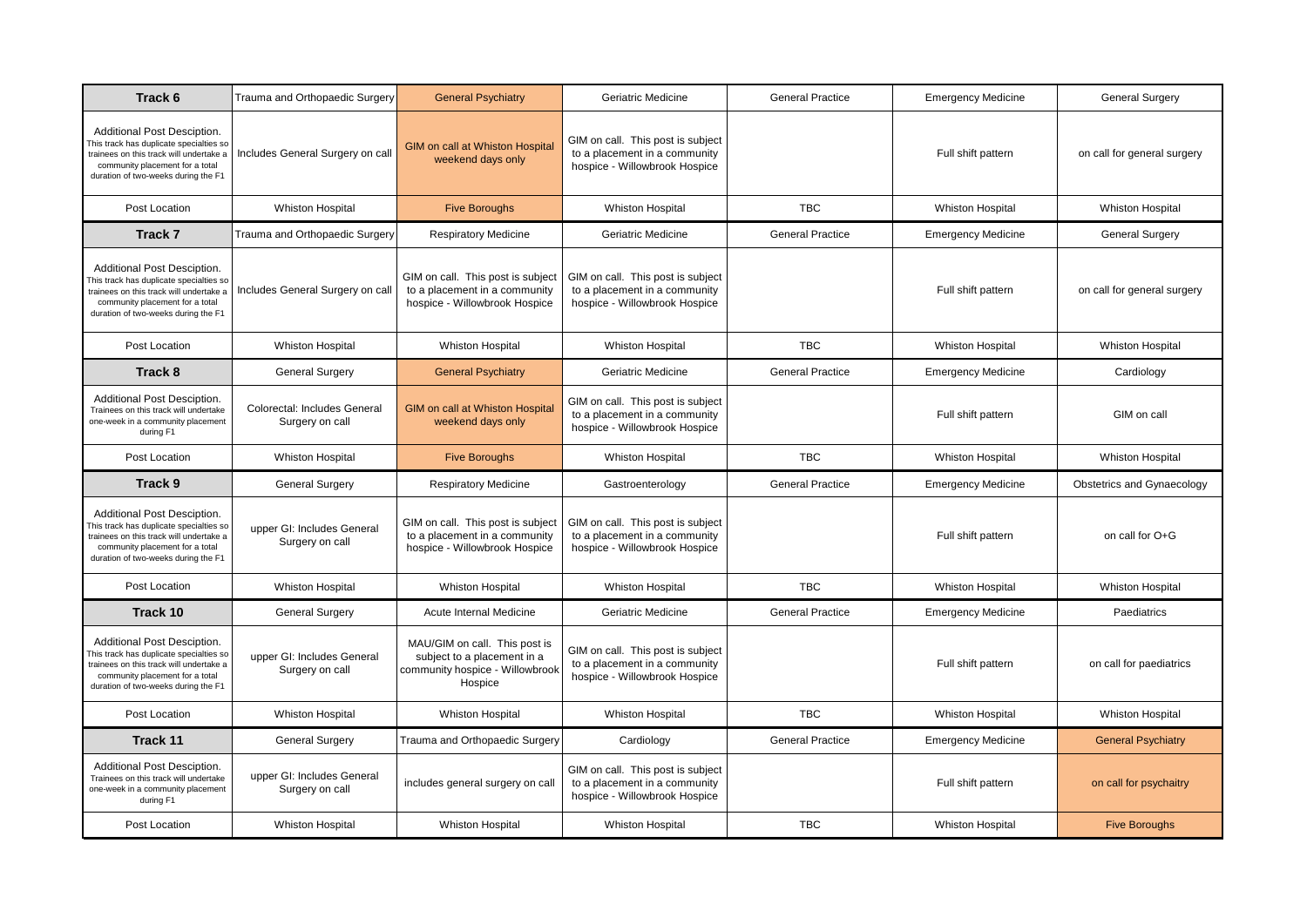| Track 6                                                                                                                                                                                    | Trauma and Orthopaedic Surgery                  | <b>General Psychiatry</b>                                                                                  | Geriatric Medicine                                                                                  | <b>General Practice</b> | <b>Emergency Medicine</b> | <b>General Surgery</b>      |
|--------------------------------------------------------------------------------------------------------------------------------------------------------------------------------------------|-------------------------------------------------|------------------------------------------------------------------------------------------------------------|-----------------------------------------------------------------------------------------------------|-------------------------|---------------------------|-----------------------------|
| Additional Post Desciption.<br>his track has duplicate specialties so<br>trainees on this track will undertake a<br>community placement for a total<br>duration of two-weeks during the F1 | Includes General Surgery on call                | GIM on call at Whiston Hospital<br>weekend days only                                                       | GIM on call. This post is subject<br>to a placement in a community<br>hospice - Willowbrook Hospice |                         | Full shift pattern        | on call for general surgery |
| Post Location                                                                                                                                                                              | <b>Whiston Hospital</b>                         | <b>Five Boroughs</b>                                                                                       | <b>Whiston Hospital</b>                                                                             | <b>TBC</b>              | <b>Whiston Hospital</b>   | <b>Whiston Hospital</b>     |
| Track 7                                                                                                                                                                                    | Trauma and Orthopaedic Surgery                  | <b>Respiratory Medicine</b>                                                                                | Geriatric Medicine                                                                                  | <b>General Practice</b> | <b>Emergency Medicine</b> | <b>General Surgery</b>      |
| Additional Post Desciption.<br>his track has duplicate specialties so<br>trainees on this track will undertake a<br>community placement for a total<br>duration of two-weeks during the F1 | Includes General Surgery on call                | GIM on call. This post is subject<br>to a placement in a community<br>hospice - Willowbrook Hospice        | GIM on call. This post is subject<br>to a placement in a community<br>hospice - Willowbrook Hospice |                         | Full shift pattern        | on call for general surgery |
| Post Location                                                                                                                                                                              | <b>Whiston Hospital</b>                         | <b>Whiston Hospital</b>                                                                                    | <b>Whiston Hospital</b>                                                                             | <b>TBC</b>              | <b>Whiston Hospital</b>   | <b>Whiston Hospital</b>     |
| Track 8                                                                                                                                                                                    | <b>General Surgery</b>                          | <b>General Psychiatry</b>                                                                                  | Geriatric Medicine                                                                                  | <b>General Practice</b> | <b>Emergency Medicine</b> | Cardiology                  |
| Additional Post Desciption.<br>Trainees on this track will undertake<br>one-week in a community placement<br>during F1                                                                     | Colorectal: Includes General<br>Surgery on call | GIM on call at Whiston Hospital<br>weekend days only                                                       | GIM on call. This post is subject<br>to a placement in a community<br>hospice - Willowbrook Hospice |                         | Full shift pattern        | GIM on call                 |
| Post Location                                                                                                                                                                              | <b>Whiston Hospital</b>                         | <b>Five Boroughs</b>                                                                                       | <b>Whiston Hospital</b>                                                                             | <b>TBC</b>              | <b>Whiston Hospital</b>   | <b>Whiston Hospital</b>     |
| Track 9                                                                                                                                                                                    | <b>General Surgery</b>                          | <b>Respiratory Medicine</b>                                                                                | Gastroenterology                                                                                    | <b>General Practice</b> | <b>Emergency Medicine</b> | Obstetrics and Gynaecology  |
| Additional Post Desciption.<br>his track has duplicate specialties so<br>trainees on this track will undertake a<br>community placement for a total<br>duration of two-weeks during the F1 | upper GI: Includes General<br>Surgery on call   | GIM on call. This post is subject<br>to a placement in a community<br>hospice - Willowbrook Hospice        | GIM on call. This post is subject<br>to a placement in a community<br>hospice - Willowbrook Hospice |                         | Full shift pattern        | on call for O+G             |
| Post Location                                                                                                                                                                              | <b>Whiston Hospital</b>                         | <b>Whiston Hospital</b>                                                                                    | <b>Whiston Hospital</b>                                                                             | <b>TBC</b>              | <b>Whiston Hospital</b>   | <b>Whiston Hospital</b>     |
| Track 10                                                                                                                                                                                   | <b>General Surgery</b>                          | Acute Internal Medicine                                                                                    | Geriatric Medicine                                                                                  | <b>General Practice</b> | <b>Emergency Medicine</b> | Paediatrics                 |
| Additional Post Desciption.<br>his track has duplicate specialties so<br>trainees on this track will undertake a<br>community placement for a total<br>duration of two-weeks during the F1 | upper GI: Includes General<br>Surgery on call   | MAU/GIM on call. This post is<br>subject to a placement in a<br>community hospice - Willowbrook<br>Hospice | GIM on call. This post is subject<br>to a placement in a community<br>hospice - Willowbrook Hospice |                         | Full shift pattern        | on call for paediatrics     |
| Post Location                                                                                                                                                                              | <b>Whiston Hospital</b>                         | <b>Whiston Hospital</b>                                                                                    | <b>Whiston Hospital</b>                                                                             | <b>TBC</b>              | <b>Whiston Hospital</b>   | <b>Whiston Hospital</b>     |
| Track 11                                                                                                                                                                                   | <b>General Surgery</b>                          | Trauma and Orthopaedic Surgery                                                                             | Cardiology                                                                                          | <b>General Practice</b> | <b>Emergency Medicine</b> | <b>General Psychiatry</b>   |
| Additional Post Desciption.<br>Trainees on this track will undertake<br>one-week in a community placement<br>during F1                                                                     | upper GI: Includes General<br>Surgery on call   | includes general surgery on call                                                                           | GIM on call. This post is subject<br>to a placement in a community<br>hospice - Willowbrook Hospice |                         | Full shift pattern        | on call for psychaitry      |
| Post Location                                                                                                                                                                              | <b>Whiston Hospital</b>                         | <b>Whiston Hospital</b>                                                                                    | <b>Whiston Hospital</b>                                                                             | <b>TBC</b>              | <b>Whiston Hospital</b>   | <b>Five Boroughs</b>        |